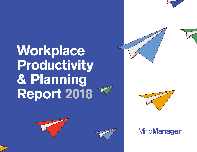





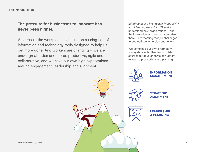## **The pressure for businesses to innovate has never been higher.**

As a result, the workplace is shifting on a rising tide of information and technology tools designed to help us get more done. And workers are changing — we are under greater demands to be productive, agile and collaborative, and we have our own high expectations around engagement, leadership and alignment.

*MindManager's Workplace Productivity and Planning Report 2018* seeks to understand how organizations — and the knowledge workers that comprise them — are meeting today's challenges to get work done, to plan and to win.

We combined our own proprietary survey data with other leading data sources to focus on three key factors related to productivity and planning:

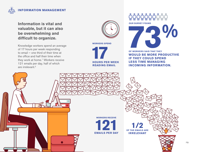

### **Information is vital and valuable, but it can also be overwhelming and difficult to organize.**

Knowledge workers spend an average of 17 hours per week responding to email — one third of their time at the office and half their time when they work at home.<sup>1</sup> Workers receive 121 emails per day, half of which are irrelevant.2



**WORKERS SPEND**



**nnnnnn**nn OUR SURVEY FOUND<br> **73 & CONDEX SAID THAT THEY**<br>
WOULD BE MODE BRODUCTIVE

**OF WORKERS SAID THAT THEY WOULD BE MORE PRODUCTIVE IF THEY COULD SPEND LESS TIME MANAGING INCOMING INFORMATION.**

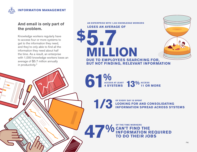

## **And email is only part of the problem.**

Knowledge workers regularly have to access four or more systems to get to the information they need, and they're only able to find all the information they need about half the time. As a result, an enterprise with 1,000 knowledge workers loses an average of \$5.7 million annually in productivity.3

**AN ENTERPRISE WITH 1,000 KNOWLEDGE WORKERS LOSES AN AVERAGE OF** 

# **5.7 \$ MILLION DUE TO EMPLOYEES SEARCHING FOR, BUT NOT FINDING, RELEVANT INFORMATION**

61% **ACCESS AT LEAST**  ACCESS AT LEAST **13<sup>0</sup>/0** ACCESS 45 SYSTEMS

OF EVERY DAY IS SPENT LOOKING FOR A **LOOKING FOR AND CONSOLIDATING INFORMATION SPREAD ACROSS SYSTEMS**

**47 VO CAN'T FIND TO DO THE TIME WORKERS CAN'T FIND THE INFORMATION REQUIRED TO DO THEIR JOBS**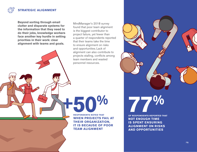

**Beyond sorting through email clutter and disparate systems for the information that they need to do their jobs, knowledge workers face another key hurdle in setting priorities in their work: clear alignment with teams and goals.**

MindManager's 2018 survey found that poor team alignment is the biggest contributor to project failure, yet fewer than a quarter of respondents reported that their teams take the time to ensure alignment on risks and opportunities. Lack of alignment can also contribute to projects stalling, conflicts among team members and wasted personnel resources.

**RESPONDENTS NOTED THAT WHEN PROJECTS FAIL AT THEIR ORGANIZATION, IT IS BECAUSE OF POOR TEAM ALIGNMENT**

**+50%**



OF RESPONDENTS REPORTED TH **OF RESPONDENTS REPORTED THAT**

**NOT ENOUGH TIME IS SPENT ENSURING ALIGNMENT ON RISKS AND OPPORTUNITIES**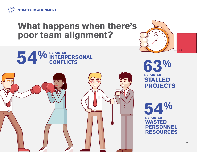

# **What happens when there's poor team alignment?**





**63% REPORTED STALLED PROJECTS**

**54% REPORTED WASTED PERSONNEL RESOURCES**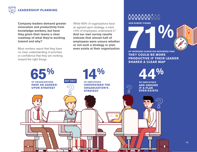

**Company leaders demand greater innovation and productivity from knowledge workers, but have they given their teams a clear roadmap of what they're working toward and why?**

Most workers report that they have no clear understanding of priorities or confidence that they are working toward the right things.

While 65% of organizations have an agreed-upon strategy, a mere 14% of employees understand it.4 **And our own survey results indicate that almost half of employees were unsure whether or not such a strategy or plan even exists at their organization.**

## **ូំជុំបុំបុំបុំបុំបុំ**បុំបុំបុំ

**OUR SURVEY FOUND**



**THEY COULD BE MORE PRODUCTIVE IF THEIR LEADER SHARED A CLEAR MAP**